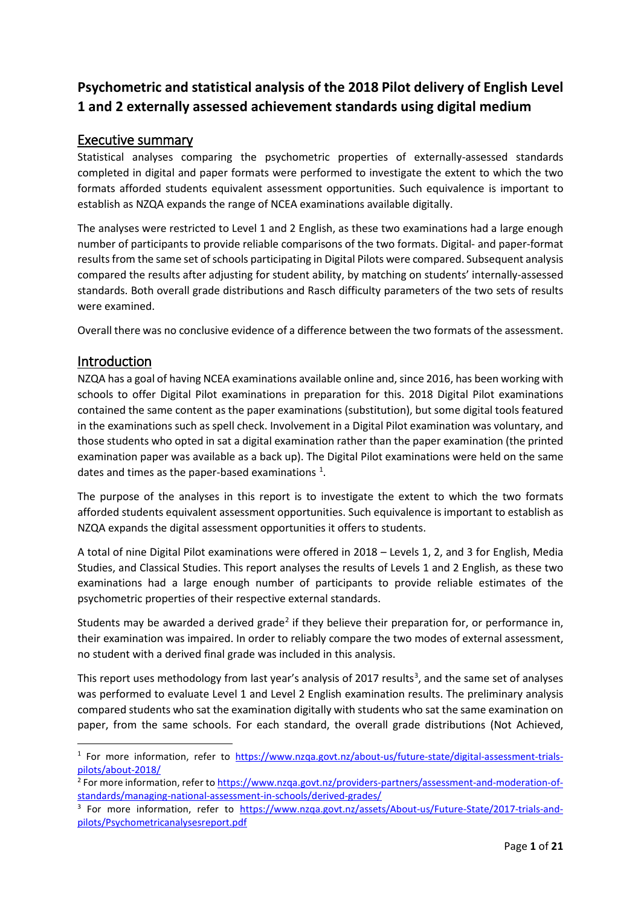# **Psychometric and statistical analysis of the 2018 Pilot delivery of English Level 1 and 2 externally assessed achievement standards using digital medium**

### Executive summary

Statistical analyses comparing the psychometric properties of externally-assessed standards completed in digital and paper formats were performed to investigate the extent to which the two formats afforded students equivalent assessment opportunities. Such equivalence is important to establish as NZQA expands the range of NCEA examinations available digitally.

The analyses were restricted to Level 1 and 2 English, as these two examinations had a large enough number of participants to provide reliable comparisons of the two formats. Digital- and paper-format results from the same set of schools participating in Digital Pilots were compared. Subsequent analysis compared the results after adjusting for student ability, by matching on students' internally-assessed standards. Both overall grade distributions and Rasch difficulty parameters of the two sets of results were examined.

Overall there was no conclusive evidence of a difference between the two formats of the assessment.

## Introduction

NZQA has a goal of having NCEA examinations available online and, since 2016, has been working with schools to offer Digital Pilot examinations in preparation for this. 2018 Digital Pilot examinations contained the same content as the paper examinations (substitution), but some digital tools featured in the examinations such as spell check. Involvement in a Digital Pilot examination was voluntary, and those students who opted in sat a digital examination rather than the paper examination (the printed examination paper was available as a back up). The Digital Pilot examinations were held on the same dates and times as the paper-based examinations  $^1$  $^1$ .

The purpose of the analyses in this report is to investigate the extent to which the two formats afforded students equivalent assessment opportunities. Such equivalence is important to establish as NZQA expands the digital assessment opportunities it offers to students.

A total of nine Digital Pilot examinations were offered in 2018 – Levels 1, 2, and 3 for English, Media Studies, and Classical Studies. This report analyses the results of Levels 1 and 2 English, as these two examinations had a large enough number of participants to provide reliable estimates of the psychometric properties of their respective external standards.

Students may be awarded a derived grade<sup>[2](#page-0-1)</sup> if they believe their preparation for, or performance in, their examination was impaired. In order to reliably compare the two modes of external assessment, no student with a derived final grade was included in this analysis.

This report uses methodology from last year's analysis of 2017 results<sup>[3](#page-0-2)</sup>, and the same set of analyses was performed to evaluate Level 1 and Level 2 English examination results. The preliminary analysis compared students who sat the examination digitally with students who sat the same examination on paper, from the same schools. For each standard, the overall grade distributions (Not Achieved,

<span id="page-0-0"></span><sup>&</sup>lt;sup>1</sup> For more information, refer to [https://www.nzqa.govt.nz/about-us/future-state/digital-assessment-trials](https://www.nzqa.govt.nz/about-us/future-state/digital-assessment-trials-pilots/about-2018/)[pilots/about-2018/](https://www.nzqa.govt.nz/about-us/future-state/digital-assessment-trials-pilots/about-2018/)

<span id="page-0-1"></span><sup>&</sup>lt;sup>2</sup> For more information, refer to [https://www.nzqa.govt.nz/providers-partners/assessment-and-moderation-of](https://www.nzqa.govt.nz/providers-partners/assessment-and-moderation-of-standards/managing-national-assessment-in-schools/derived-grades/)[standards/managing-national-assessment-in-schools/derived-grades/](https://www.nzqa.govt.nz/providers-partners/assessment-and-moderation-of-standards/managing-national-assessment-in-schools/derived-grades/)

<span id="page-0-2"></span><sup>&</sup>lt;sup>3</sup> For more information, refer to [https://www.nzqa.govt.nz/assets/About-us/Future-State/2017-trials-and](https://www.nzqa.govt.nz/assets/About-us/Future-State/2017-trials-and-pilots/Psychometricanalysesreport.pdf)[pilots/Psychometricanalysesreport.pdf](https://www.nzqa.govt.nz/assets/About-us/Future-State/2017-trials-and-pilots/Psychometricanalysesreport.pdf)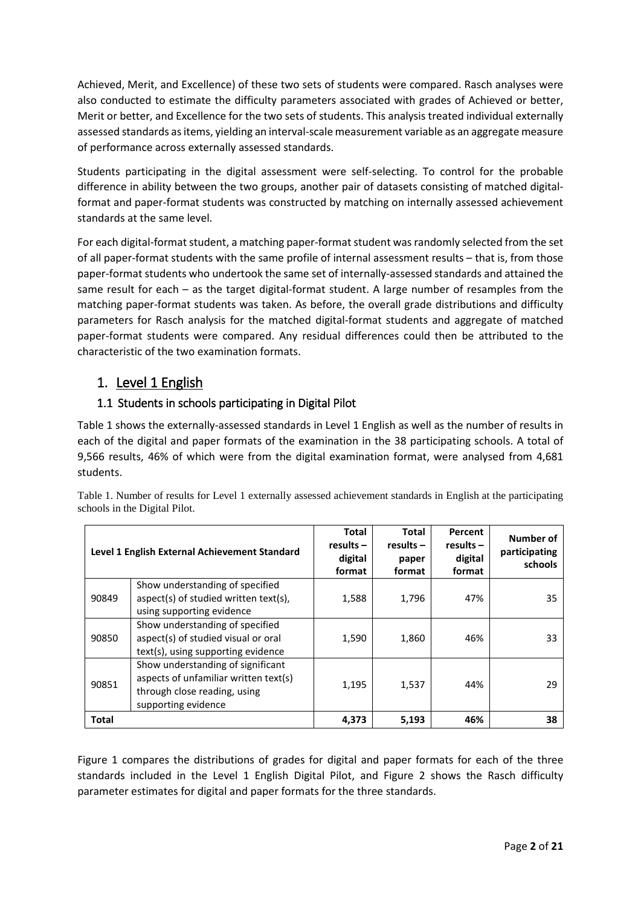Achieved, Merit, and Excellence) of these two sets of students were compared. Rasch analyses were also conducted to estimate the difficulty parameters associated with grades of Achieved or better, Merit or better, and Excellence for the two sets of students. This analysis treated individual externally assessed standards as items, yielding an interval-scale measurement variable as an aggregate measure of performance across externally assessed standards.

Students participating in the digital assessment were self-selecting. To control for the probable difference in ability between the two groups, another pair of datasets consisting of matched digitalformat and paper-format students was constructed by matching on internally assessed achievement standards at the same level.

For each digital-format student, a matching paper-format student was randomly selected from the set of all paper-format students with the same profile of internal assessment results – that is, from those paper-format students who undertook the same set of internally-assessed standards and attained the same result for each – as the target digital-format student. A large number of resamples from the matching paper-format students was taken. As before, the overall grade distributions and difficulty parameters for Rasch analysis for the matched digital-format students and aggregate of matched paper-format students were compared. Any residual differences could then be attributed to the characteristic of the two examination formats.

## 1. Level 1 English

### <span id="page-1-1"></span>1.1 Students in schools participating in Digital Pilot

[Table 1](#page-1-0) shows the externally-assessed standards in Level 1 English as well as the number of results in each of the digital and paper formats of the examination in the 38 participating schools. A total of 9,566 results, 46% of which were from the digital examination format, were analysed from 4,681 students.

|              | Level 1 English External Achievement Standard                                                                                     | <b>Total</b><br>$results -$<br>digital<br>format | <b>Total</b><br>$results -$<br>paper<br>format | Percent<br>$results -$<br>digital<br>format | Number of<br>participating<br>schools |
|--------------|-----------------------------------------------------------------------------------------------------------------------------------|--------------------------------------------------|------------------------------------------------|---------------------------------------------|---------------------------------------|
| 90849        | Show understanding of specified<br>aspect(s) of studied written text(s),<br>using supporting evidence                             | 1,588                                            | 1,796                                          | 47%                                         | 35                                    |
| 90850        | Show understanding of specified<br>aspect(s) of studied visual or oral<br>text(s), using supporting evidence                      | 1,590                                            | 1,860                                          | 46%                                         | 33                                    |
| 90851        | Show understanding of significant<br>aspects of unfamiliar written text(s)<br>through close reading, using<br>supporting evidence | 1,195                                            | 1,537                                          | 44%                                         | 29                                    |
| <b>Total</b> |                                                                                                                                   | 4,373                                            | 5,193                                          | 46%                                         | 38                                    |

<span id="page-1-0"></span>Table 1. Number of results for Level 1 externally assessed achievement standards in English at the participating schools in the Digital Pilot.

[Figure 1](#page-2-0) compares the distributions of grades for digital and paper formats for each of the three standards included in the Level 1 English Digital Pilot, and [Figure 2](#page-3-0) shows the Rasch difficulty parameter estimates for digital and paper formats for the three standards.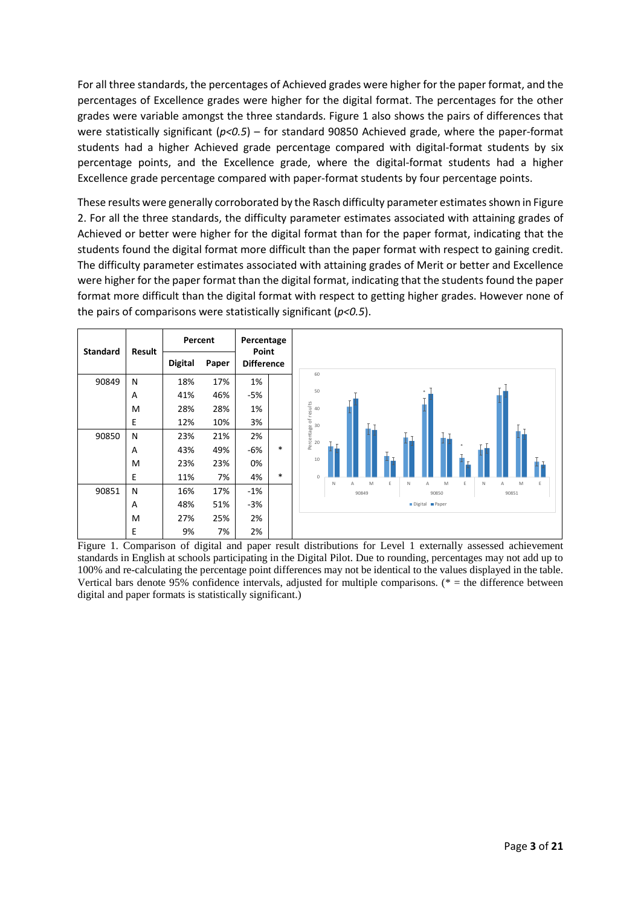For all three standards, the percentages of Achieved grades were higher for the paper format, and the percentages of Excellence grades were higher for the digital format. The percentages for the other grades were variable amongst the three standards. [Figure 1](#page-2-0) also shows the pairs of differences that were statistically significant (*p<0.5*) – for standard 90850 Achieved grade, where the paper-format students had a higher Achieved grade percentage compared with digital-format students by six percentage points, and the Excellence grade, where the digital-format students had a higher Excellence grade percentage compared with paper-format students by four percentage points.

These results were generally corroborated by the Rasch difficulty parameter estimatesshown in [Figure](#page-3-0)  [2.](#page-3-0) For all the three standards, the difficulty parameter estimates associated with attaining grades of Achieved or better were higher for the digital format than for the paper format, indicating that the students found the digital format more difficult than the paper format with respect to gaining credit. The difficulty parameter estimates associated with attaining grades of Merit or better and Excellence were higher for the paper format than the digital format, indicating that the students found the paper format more difficult than the digital format with respect to getting higher grades. However none of the pairs of comparisons were statistically significant (*p<0.5*).



<span id="page-2-0"></span>Figure 1. Comparison of digital and paper result distributions for Level 1 externally assessed achievement standards in English at schools participating in the Digital Pilot. Due to rounding, percentages may not add up to 100% and re-calculating the percentage point differences may not be identical to the values displayed in the table. Vertical bars denote 95% confidence intervals, adjusted for multiple comparisons. (\* = the difference between digital and paper formats is statistically significant.)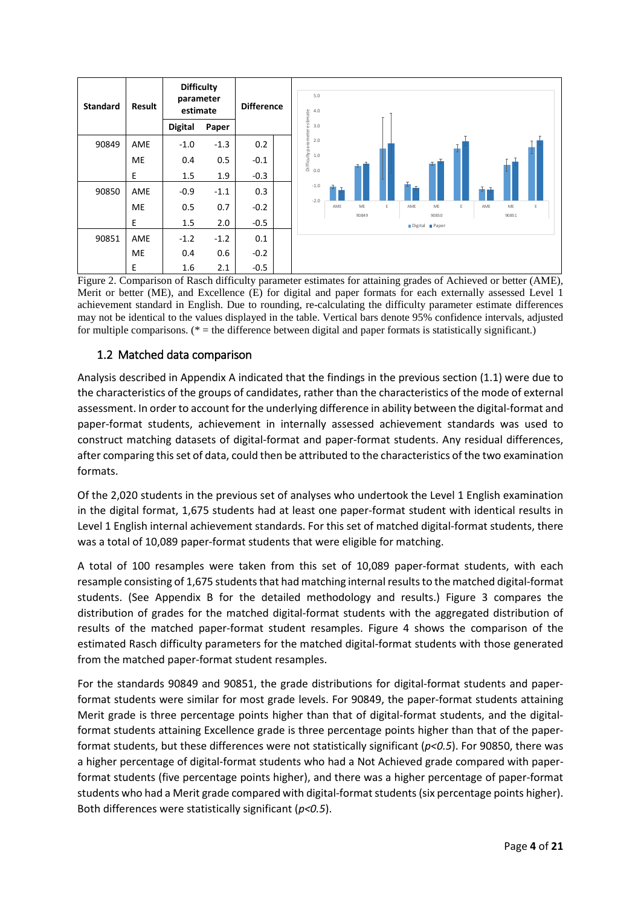

<span id="page-3-0"></span>Figure 2. Comparison of Rasch difficulty parameter estimates for attaining grades of Achieved or better (AME), Merit or better (ME), and Excellence (E) for digital and paper formats for each externally assessed Level 1 achievement standard in English. Due to rounding, re-calculating the difficulty parameter estimate differences may not be identical to the values displayed in the table. Vertical bars denote 95% confidence intervals, adjusted for multiple comparisons. ( $* =$  the difference between digital and paper formats is statistically significant.)

#### <span id="page-3-1"></span>1.2 Matched data comparison

Analysis described in Appendix [A](#page-9-0) indicated that the findings in the previous section [\(1.1\)](#page-1-1) were due to the characteristics of the groups of candidates, rather than the characteristics of the mode of external assessment. In order to account for the underlying difference in ability between the digital-format and paper-format students, achievement in internally assessed achievement standards was used to construct matching datasets of digital-format and paper-format students. Any residual differences, after comparing this set of data, could then be attributed to the characteristics of the two examination formats.

Of the 2,020 students in the previous set of analyses who undertook the Level 1 English examination in the digital format, 1,675 students had at least one paper-format student with identical results in Level 1 English internal achievement standards. For this set of matched digital-format students, there was a total of 10,089 paper-format students that were eligible for matching.

A total of 100 resamples were taken from this set of 10,089 paper-format students, with each resample consisting of 1,675 students that had matching internal results to the matched digital-format students. (See Appendix [B](#page-12-0) for the detailed methodology and results.) [Figure 3](#page-4-0) compares the distribution of grades for the matched digital-format students with the aggregated distribution of results of the matched paper-format student resamples. [Figure 4](#page-4-1) shows the comparison of the estimated Rasch difficulty parameters for the matched digital-format students with those generated from the matched paper-format student resamples.

For the standards 90849 and 90851, the grade distributions for digital-format students and paperformat students were similar for most grade levels. For 90849, the paper-format students attaining Merit grade is three percentage points higher than that of digital-format students, and the digitalformat students attaining Excellence grade is three percentage points higher than that of the paperformat students, but these differences were not statistically significant (*p<0.5*). For 90850, there was a higher percentage of digital-format students who had a Not Achieved grade compared with paperformat students (five percentage points higher), and there was a higher percentage of paper-format students who had a Merit grade compared with digital-format students(six percentage points higher). Both differences were statistically significant (*p<0.5*).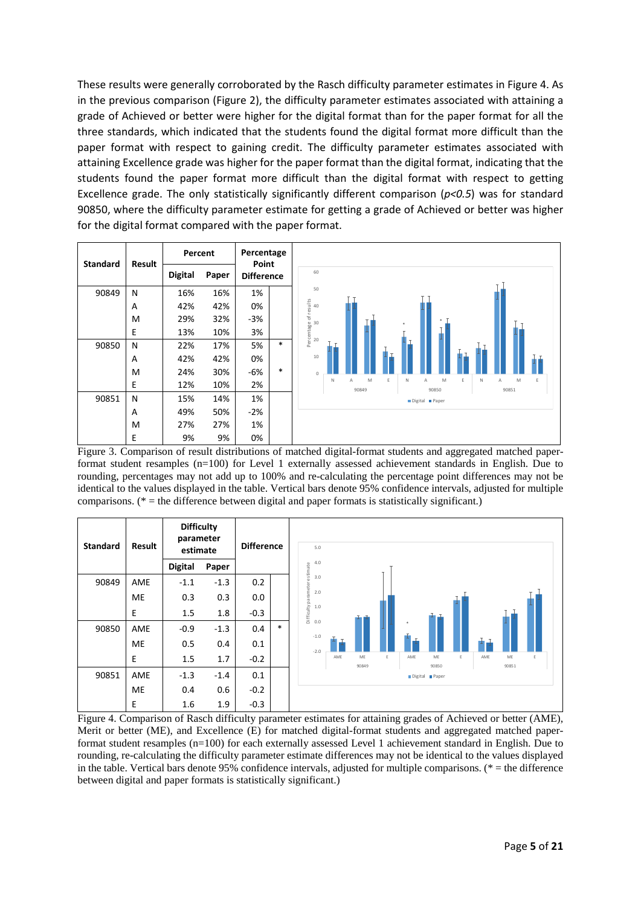These results were generally corroborated by the Rasch difficulty parameter estimates in [Figure 4.](#page-4-1) As in the previous comparison [\(Figure 2\)](#page-3-0), the difficulty parameter estimates associated with attaining a grade of Achieved or better were higher for the digital format than for the paper format for all the three standards, which indicated that the students found the digital format more difficult than the paper format with respect to gaining credit. The difficulty parameter estimates associated with attaining Excellence grade was higher for the paper format than the digital format, indicating that the students found the paper format more difficult than the digital format with respect to getting Excellence grade. The only statistically significantly different comparison (*p<0.5*) was for standard 90850, where the difficulty parameter estimate for getting a grade of Achieved or better was higher for the digital format compared with the paper format.



<span id="page-4-0"></span>Figure 3. Comparison of result distributions of matched digital-format students and aggregated matched paperformat student resamples (n=100) for Level 1 externally assessed achievement standards in English. Due to rounding, percentages may not add up to 100% and re-calculating the percentage point differences may not be identical to the values displayed in the table. Vertical bars denote 95% confidence intervals, adjusted for multiple comparisons. ( $*$  = the difference between digital and paper formats is statistically significant.)

| <b>Standard</b> | Result    | <b>Difficulty</b><br>parameter<br>estimate |        |        | <b>Difference</b> |  | 5.0                                      |     |             |   |     |                      |   |     |             |   |
|-----------------|-----------|--------------------------------------------|--------|--------|-------------------|--|------------------------------------------|-----|-------------|---|-----|----------------------|---|-----|-------------|---|
|                 |           | <b>Digital</b>                             | Paper  |        |                   |  | 4.0                                      |     |             |   |     |                      |   |     |             |   |
| 90849           | AME       | $-1.1$                                     | $-1.3$ | 0.2    |                   |  | 3.0                                      |     |             |   |     |                      |   |     |             |   |
|                 | <b>ME</b> | 0.3                                        | 0.3    | 0.0    |                   |  | 2.0                                      |     |             |   |     |                      |   |     |             |   |
|                 | E         | 1.5                                        | 1.8    | $-0.3$ |                   |  | Difficulty parameter estimate<br>$1.0\,$ |     |             |   |     |                      |   |     |             |   |
| 90850           | AME       | $-0.9$                                     | $-1.3$ | 0.4    | $\ast$            |  | 0.0                                      |     |             |   |     |                      |   |     |             |   |
|                 | <b>ME</b> | 0.5                                        | 0.4    | 0.1    |                   |  | $-1.0$<br>$-2.0$                         |     |             |   |     |                      |   |     |             |   |
|                 | E         | 1.5                                        | 1.7    | $-0.2$ |                   |  |                                          | AME | ME<br>90849 | E | AME | ME<br>90850          | E | AME | ME<br>90851 | E |
| 90851           | AME       | $-1.3$                                     | $-1.4$ | 0.1    |                   |  |                                          |     |             |   |     | Digital <b>Paper</b> |   |     |             |   |
|                 | <b>ME</b> | 0.4                                        | 0.6    | $-0.2$ |                   |  |                                          |     |             |   |     |                      |   |     |             |   |
|                 | E         | 1.6                                        | 1.9    | $-0.3$ |                   |  |                                          |     |             |   |     |                      |   |     |             |   |

<span id="page-4-1"></span>Figure 4. Comparison of Rasch difficulty parameter estimates for attaining grades of Achieved or better (AME), Merit or better (ME), and Excellence (E) for matched digital-format students and aggregated matched paperformat student resamples (n=100) for each externally assessed Level 1 achievement standard in English. Due to rounding, re-calculating the difficulty parameter estimate differences may not be identical to the values displayed in the table. Vertical bars denote 95% confidence intervals, adjusted for multiple comparisons. (\* = the difference between digital and paper formats is statistically significant.)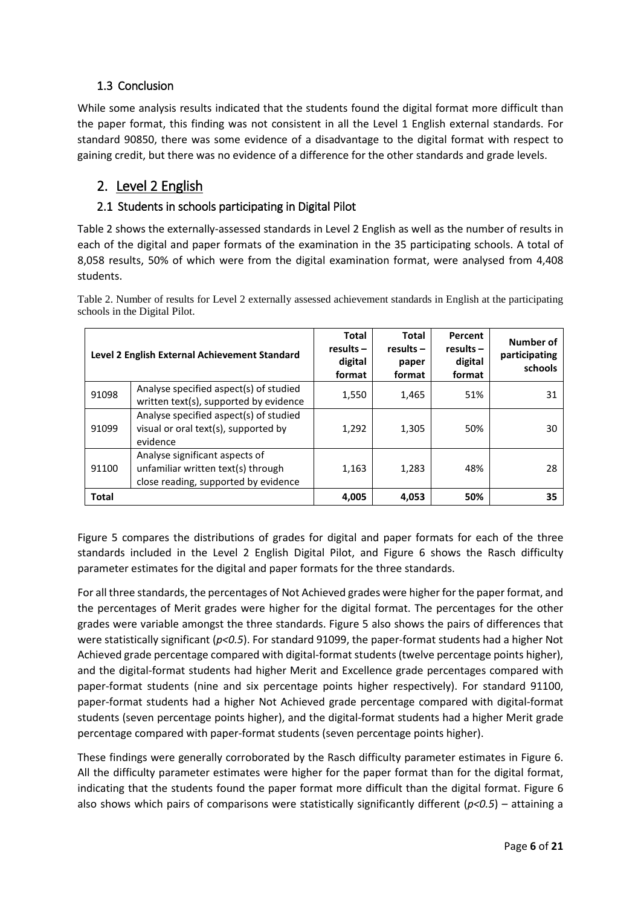## 1.3 Conclusion

While some analysis results indicated that the students found the digital format more difficult than the paper format, this finding was not consistent in all the Level 1 English external standards. For standard 90850, there was some evidence of a disadvantage to the digital format with respect to gaining credit, but there was no evidence of a difference for the other standards and grade levels.

## 2. Level 2 English

#### <span id="page-5-1"></span>2.1 Students in schools participating in Digital Pilot

[Table 2](#page-5-0) shows the externally-assessed standards in Level 2 English as well as the number of results in each of the digital and paper formats of the examination in the 35 participating schools. A total of 8,058 results, 50% of which were from the digital examination format, were analysed from 4,408 students.

|              | Level 2 English External Achievement Standard                                                                | <b>Total</b><br>$results -$<br>digital<br>format | <b>Total</b><br>$results -$<br>paper<br>format | Percent<br>$results -$<br>digital<br>format | Number of<br>participating<br>schools |
|--------------|--------------------------------------------------------------------------------------------------------------|--------------------------------------------------|------------------------------------------------|---------------------------------------------|---------------------------------------|
| 91098        | Analyse specified aspect(s) of studied<br>written text(s), supported by evidence                             | 1,550                                            | 1,465                                          | 51%                                         | 31                                    |
| 91099        | Analyse specified aspect(s) of studied<br>visual or oral text(s), supported by<br>evidence                   | 1,292                                            | 1,305                                          | 50%                                         | 30                                    |
| 91100        | Analyse significant aspects of<br>unfamiliar written text(s) through<br>close reading, supported by evidence | 1,163                                            | 1,283                                          | 48%                                         | 28                                    |
| <b>Total</b> |                                                                                                              | 4.005                                            | 4.053                                          | 50%                                         | 35                                    |

<span id="page-5-0"></span>Table 2. Number of results for Level 2 externally assessed achievement standards in English at the participating schools in the Digital Pilot.

[Figure 5](#page-6-0) compares the distributions of grades for digital and paper formats for each of the three standards included in the Level 2 English Digital Pilot, and [Figure 6](#page-6-1) shows the Rasch difficulty parameter estimates for the digital and paper formats for the three standards.

For all three standards, the percentages of Not Achieved grades were higher for the paper format, and the percentages of Merit grades were higher for the digital format. The percentages for the other grades were variable amongst the three standards. [Figure 5](#page-6-0) also shows the pairs of differences that were statistically significant (*p<0.5*). For standard 91099, the paper-format students had a higher Not Achieved grade percentage compared with digital-format students (twelve percentage points higher), and the digital-format students had higher Merit and Excellence grade percentages compared with paper-format students (nine and six percentage points higher respectively). For standard 91100, paper-format students had a higher Not Achieved grade percentage compared with digital-format students (seven percentage points higher), and the digital-format students had a higher Merit grade percentage compared with paper-format students (seven percentage points higher).

These findings were generally corroborated by the Rasch difficulty parameter estimates in [Figure 6.](#page-6-1) All the difficulty parameter estimates were higher for the paper format than for the digital format, indicating that the students found the paper format more difficult than the digital format. [Figure 6](#page-6-1) also shows which pairs of comparisons were statistically significantly different (*p<0.5*) – attaining a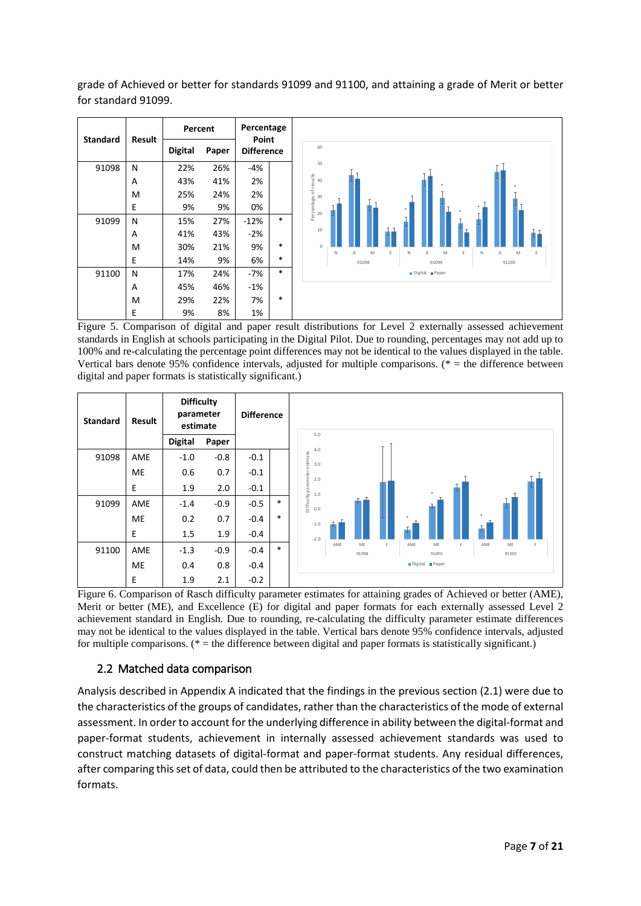grade of Achieved or better for standards 91099 and 91100, and attaining a grade of Merit or better for standard 91099.



<span id="page-6-0"></span>Figure 5. Comparison of digital and paper result distributions for Level 2 externally assessed achievement standards in English at schools participating in the Digital Pilot. Due to rounding, percentages may not add up to 100% and re-calculating the percentage point differences may not be identical to the values displayed in the table. Vertical bars denote 95% confidence intervals, adjusted for multiple comparisons. (\* = the difference between digital and paper formats is statistically significant.)



<span id="page-6-1"></span>Figure 6. Comparison of Rasch difficulty parameter estimates for attaining grades of Achieved or better (AME), Merit or better (ME), and Excellence (E) for digital and paper formats for each externally assessed Level 2 achievement standard in English. Due to rounding, re-calculating the difficulty parameter estimate differences may not be identical to the values displayed in the table. Vertical bars denote 95% confidence intervals, adjusted for multiple comparisons.  $(* =$  the difference between digital and paper formats is statistically significant.)

#### <span id="page-6-2"></span>2.2 Matched data comparison

Analysis described in Appendix [A](#page-9-0) indicated that the findings in the previous section [\(2.1\)](#page-5-1) were due to the characteristics of the groups of candidates, rather than the characteristics of the mode of external assessment. In order to account for the underlying difference in ability between the digital-format and paper-format students, achievement in internally assessed achievement standards was used to construct matching datasets of digital-format and paper-format students. Any residual differences, after comparing this set of data, could then be attributed to the characteristics of the two examination formats.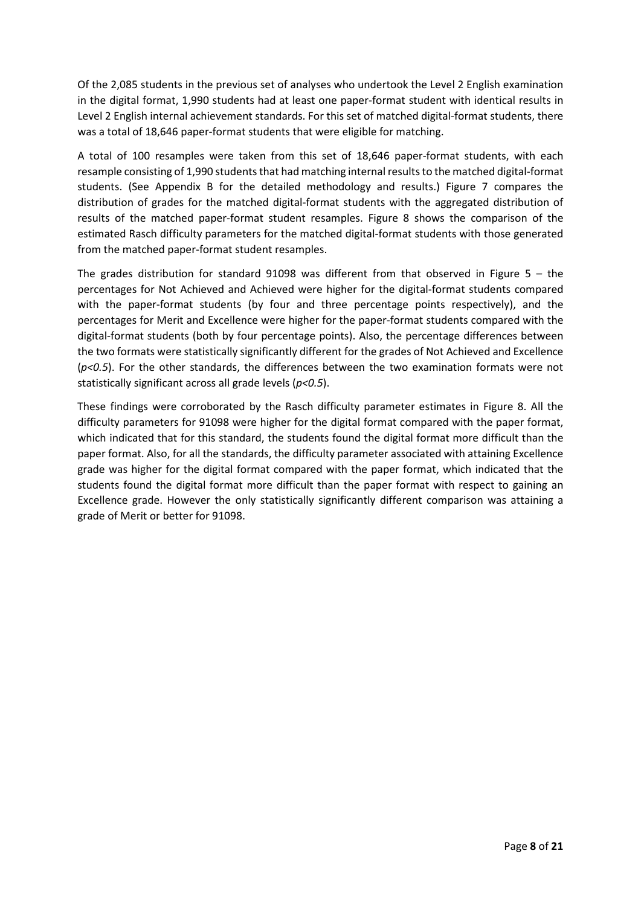Of the 2,085 students in the previous set of analyses who undertook the Level 2 English examination in the digital format, 1,990 students had at least one paper-format student with identical results in Level 2 English internal achievement standards. For this set of matched digital-format students, there was a total of 18,646 paper-format students that were eligible for matching.

A total of 100 resamples were taken from this set of 18,646 paper-format students, with each resample consisting of 1,990 students that had matching internal results to the matched digital-format students. (See Appendix [B](#page-12-0) for the detailed methodology and results.) [Figure 7](#page-8-0) compares the distribution of grades for the matched digital-format students with the aggregated distribution of results of the matched paper-format student resamples. [Figure 8](#page-8-1) shows the comparison of the estimated Rasch difficulty parameters for the matched digital-format students with those generated from the matched paper-format student resamples.

The grades distribution for standard 91098 was different from that observed in [Figure 5](#page-6-0) – the percentages for Not Achieved and Achieved were higher for the digital-format students compared with the paper-format students (by four and three percentage points respectively), and the percentages for Merit and Excellence were higher for the paper-format students compared with the digital-format students (both by four percentage points). Also, the percentage differences between the two formats were statistically significantly different for the grades of Not Achieved and Excellence (*p<0.5*). For the other standards, the differences between the two examination formats were not statistically significant across all grade levels (*p<0.5*).

These findings were corroborated by the Rasch difficulty parameter estimates in [Figure 8.](#page-8-1) All the difficulty parameters for 91098 were higher for the digital format compared with the paper format, which indicated that for this standard, the students found the digital format more difficult than the paper format. Also, for all the standards, the difficulty parameter associated with attaining Excellence grade was higher for the digital format compared with the paper format, which indicated that the students found the digital format more difficult than the paper format with respect to gaining an Excellence grade. However the only statistically significantly different comparison was attaining a grade of Merit or better for 91098.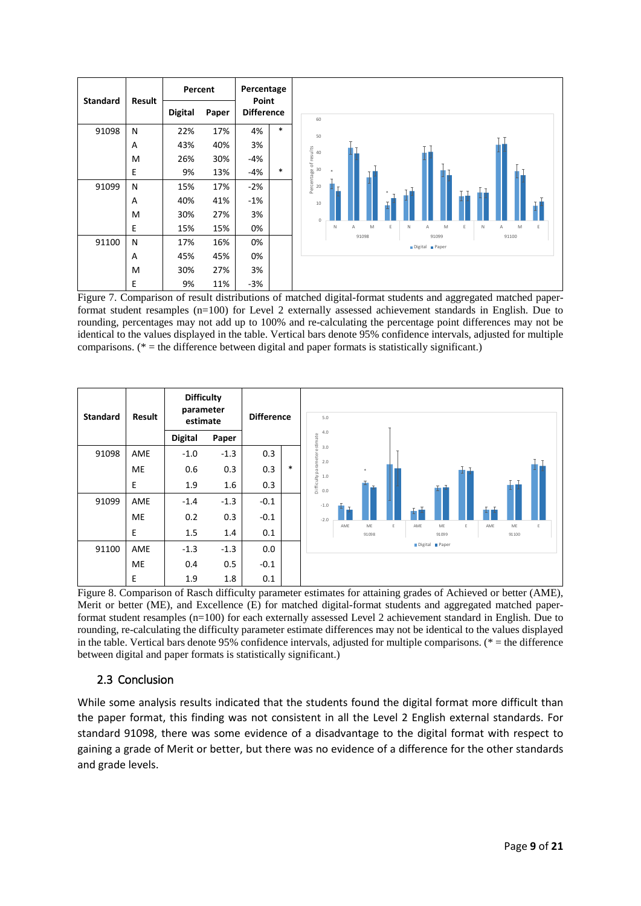

<span id="page-8-0"></span>Figure 7. Comparison of result distributions of matched digital-format students and aggregated matched paperformat student resamples (n=100) for Level 2 externally assessed achievement standards in English. Due to rounding, percentages may not add up to 100% and re-calculating the percentage point differences may not be identical to the values displayed in the table. Vertical bars denote 95% confidence intervals, adjusted for multiple comparisons. (\* = the difference between digital and paper formats is statistically significant.)



<span id="page-8-1"></span>Figure 8. Comparison of Rasch difficulty parameter estimates for attaining grades of Achieved or better (AME), Merit or better (ME), and Excellence (E) for matched digital-format students and aggregated matched paperformat student resamples (n=100) for each externally assessed Level 2 achievement standard in English. Due to rounding, re-calculating the difficulty parameter estimate differences may not be identical to the values displayed in the table. Vertical bars denote 95% confidence intervals, adjusted for multiple comparisons.  $(* =$  the difference between digital and paper formats is statistically significant.)

#### 2.3 Conclusion

While some analysis results indicated that the students found the digital format more difficult than the paper format, this finding was not consistent in all the Level 2 English external standards. For standard 91098, there was some evidence of a disadvantage to the digital format with respect to gaining a grade of Merit or better, but there was no evidence of a difference for the other standards and grade levels.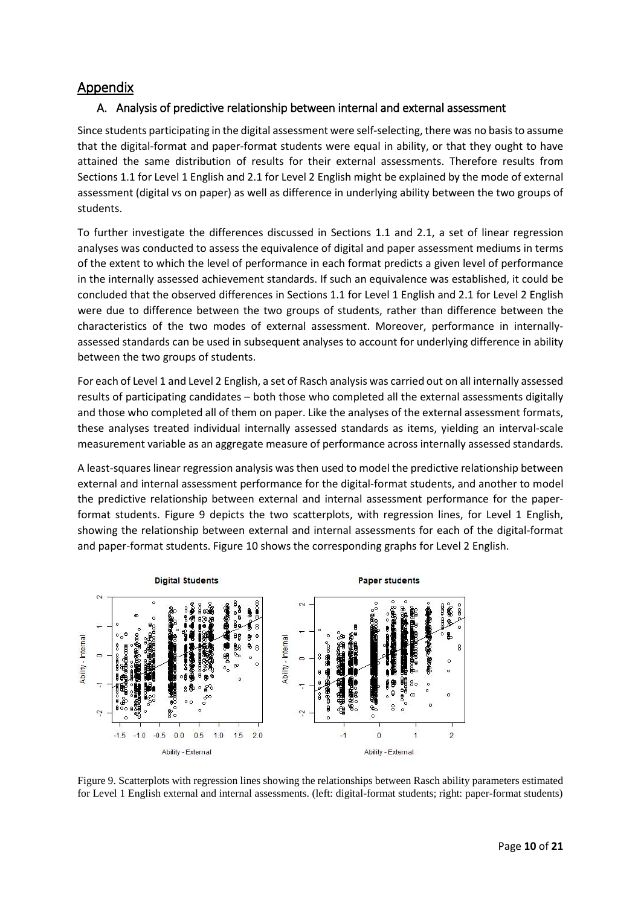## <span id="page-9-0"></span>Appendix

#### A. Analysis of predictive relationship between internal and external assessment

Since students participating in the digital assessment were self-selecting, there was no basis to assume that the digital-format and paper-format students were equal in ability, or that they ought to have attained the same distribution of results for their external assessments. Therefore results from Section[s 1.1](#page-1-1) for Level 1 English an[d 2.1](#page-5-1) for Level 2 English might be explained by the mode of external assessment (digital vs on paper) as well as difference in underlying ability between the two groups of students.

To further investigate the differences discussed in Sections [1.1](#page-1-1) and [2.1,](#page-5-1) a set of linear regression analyses was conducted to assess the equivalence of digital and paper assessment mediums in terms of the extent to which the level of performance in each format predicts a given level of performance in the internally assessed achievement standards. If such an equivalence was established, it could be concluded that the observed differences in Section[s 1.1](#page-1-1) for Level 1 English and [2.1](#page-5-1) for Level 2 English were due to difference between the two groups of students, rather than difference between the characteristics of the two modes of external assessment. Moreover, performance in internallyassessed standards can be used in subsequent analyses to account for underlying difference in ability between the two groups of students.

For each of Level 1 and Level 2 English, a set of Rasch analysis was carried out on all internally assessed results of participating candidates – both those who completed all the external assessments digitally and those who completed all of them on paper. Like the analyses of the external assessment formats, these analyses treated individual internally assessed standards as items, yielding an interval-scale measurement variable as an aggregate measure of performance across internally assessed standards.

A least-squares linear regression analysis was then used to model the predictive relationship between external and internal assessment performance for the digital-format students, and another to model the predictive relationship between external and internal assessment performance for the paperformat students. [Figure 9](#page-9-1) depicts the two scatterplots, with regression lines, for Level 1 English, showing the relationship between external and internal assessments for each of the digital-format and paper-format students. [Figure 10](#page-10-0) shows the corresponding graphs for Level 2 English.



<span id="page-9-1"></span>Figure 9. Scatterplots with regression lines showing the relationships between Rasch ability parameters estimated for Level 1 English external and internal assessments. (left: digital-format students; right: paper-format students)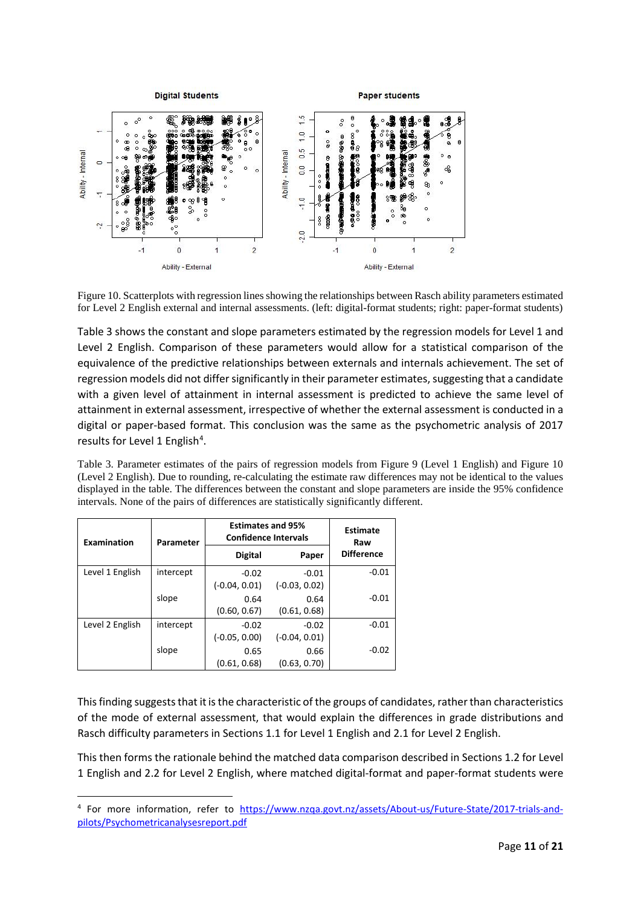

<span id="page-10-0"></span>Figure 10. Scatterplots with regression lines showing the relationships between Rasch ability parameters estimated for Level 2 English external and internal assessments. (left: digital-format students; right: paper-format students)

[Table 3](#page-10-1) shows the constant and slope parameters estimated by the regression models for Level 1 and Level 2 English. Comparison of these parameters would allow for a statistical comparison of the equivalence of the predictive relationships between externals and internals achievement. The set of regression models did not differ significantly in their parameter estimates, suggesting that a candidate with a given level of attainment in internal assessment is predicted to achieve the same level of attainment in external assessment, irrespective of whether the external assessment is conducted in a digital or paper-based format. This conclusion was the same as the psychometric analysis of 2017 results for Level 1 English<sup>4</sup>.

<span id="page-10-1"></span>Table 3. Parameter estimates of the pairs of regression models from [Figure 9](#page-9-1) (Level 1 English) and [Figure 10](#page-10-0) (Level 2 English). Due to rounding, re-calculating the estimate raw differences may not be identical to the values displayed in the table. The differences between the constant and slope parameters are inside the 95% confidence intervals. None of the pairs of differences are statistically significantly different.

| Examination     | Parameter | <b>Estimates and 95%</b><br><b>Confidence Intervals</b> | <b>Estimate</b><br>Raw     |                   |
|-----------------|-----------|---------------------------------------------------------|----------------------------|-------------------|
|                 |           | <b>Digital</b>                                          | Paper                      | <b>Difference</b> |
| Level 1 English | intercept | $-0.02$<br>$(-0.04, 0.01)$                              | $-0.01$<br>$(-0.03, 0.02)$ | $-0.01$           |
|                 | slope     | 0.64<br>(0.60, 0.67)                                    | 0.64<br>(0.61, 0.68)       | $-0.01$           |
| Level 2 English | intercept | $-0.02$<br>$(-0.05, 0.00)$                              | $-0.02$<br>$(-0.04, 0.01)$ | $-0.01$           |
|                 | slope     | 0.65<br>(0.61, 0.68)                                    | 0.66<br>(0.63, 0.70)       | $-0.02$           |

This finding suggests that it is the characteristic of the groups of candidates, rather than characteristics of the mode of external assessment, that would explain the differences in grade distributions and Rasch difficulty parameters in Sections [1.1](#page-1-1) for Level 1 English an[d 2.1](#page-5-1) for Level 2 English.

This then forms the rationale behind the matched data comparison described in Section[s 1.2](#page-3-1) for Level 1 English and [2.2](#page-6-2) for Level 2 English, where matched digital-format and paper-format students were

<span id="page-10-2"></span> <sup>4</sup> For more information, refer to [https://www.nzqa.govt.nz/assets/About-us/Future-State/2017-trials-and](https://www.nzqa.govt.nz/assets/About-us/Future-State/2017-trials-and-pilots/Psychometricanalysesreport.pdf)[pilots/Psychometricanalysesreport.pdf](https://www.nzqa.govt.nz/assets/About-us/Future-State/2017-trials-and-pilots/Psychometricanalysesreport.pdf)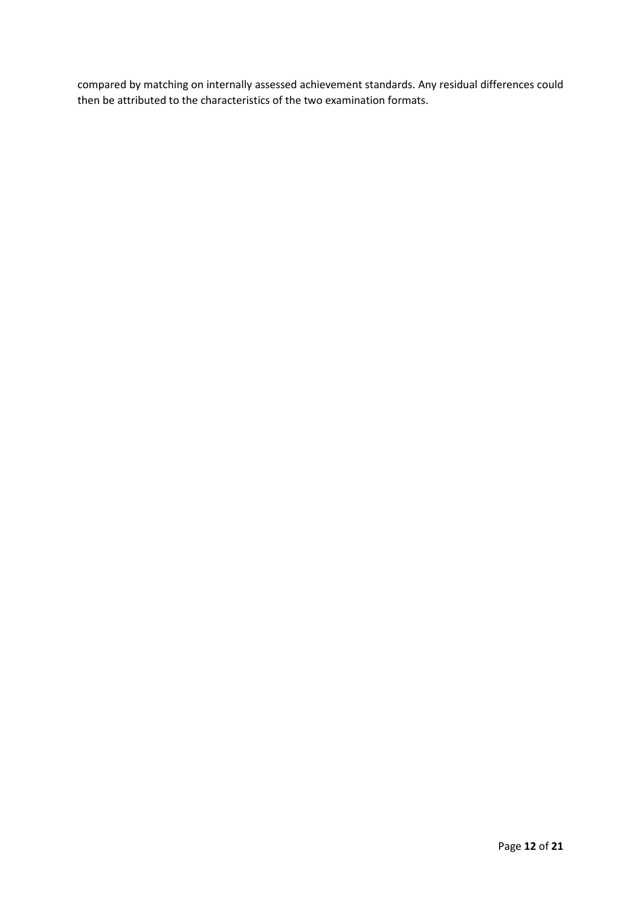compared by matching on internally assessed achievement standards. Any residual differences could then be attributed to the characteristics of the two examination formats.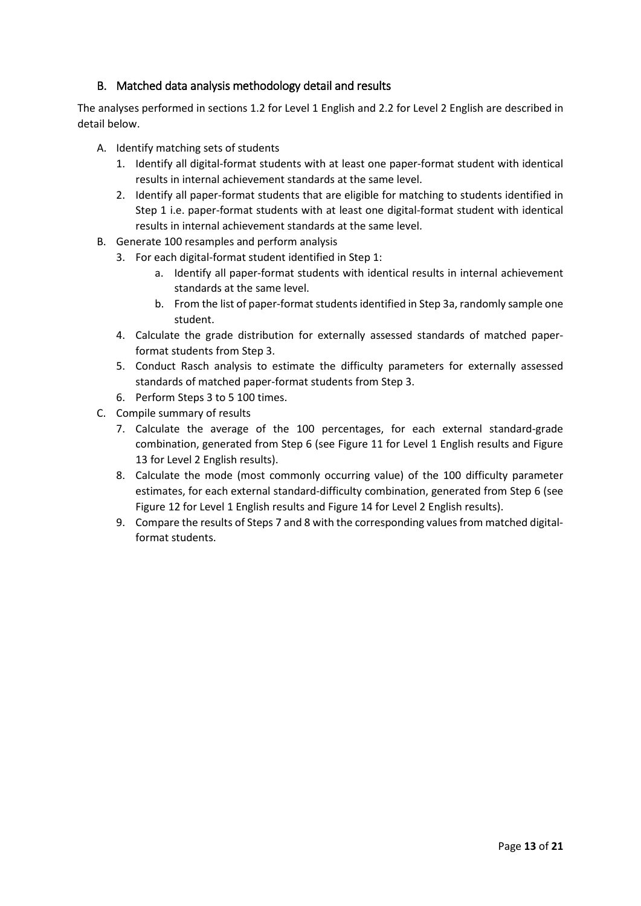#### <span id="page-12-0"></span>B. Matched data analysis methodology detail and results

The analyses performed in sections [1.2](#page-3-1) for Level 1 English an[d 2.2](#page-6-2) for Level 2 English are described in detail below.

- A. Identify matching sets of students
	- 1. Identify all digital-format students with at least one paper-format student with identical results in internal achievement standards at the same level.
	- 2. Identify all paper-format students that are eligible for matching to students identified in Step 1 i.e. paper-format students with at least one digital-format student with identical results in internal achievement standards at the same level.
- B. Generate 100 resamples and perform analysis
	- 3. For each digital-format student identified in Step 1:
		- a. Identify all paper-format students with identical results in internal achievement standards at the same level.
		- b. From the list of paper-format students identified in Step 3a, randomly sample one student.
	- 4. Calculate the grade distribution for externally assessed standards of matched paperformat students from Step 3.
	- 5. Conduct Rasch analysis to estimate the difficulty parameters for externally assessed standards of matched paper-format students from Step 3.
	- 6. Perform Steps 3 to 5 100 times.
- C. Compile summary of results
	- 7. Calculate the average of the 100 percentages, for each external standard-grade combination, generated from Step 6 (see [Figure 11](#page-13-0) for Level 1 English results and [Figure](#page-14-0)  [13](#page-14-0) for Level 2 English results).
	- 8. Calculate the mode (most commonly occurring value) of the 100 difficulty parameter estimates, for each external standard-difficulty combination, generated from Step 6 (see [Figure 12](#page-13-1) for Level 1 English results an[d Figure 14](#page-14-1) for Level 2 English results).
	- 9. Compare the results of Steps 7 and 8 with the corresponding values from matched digitalformat students.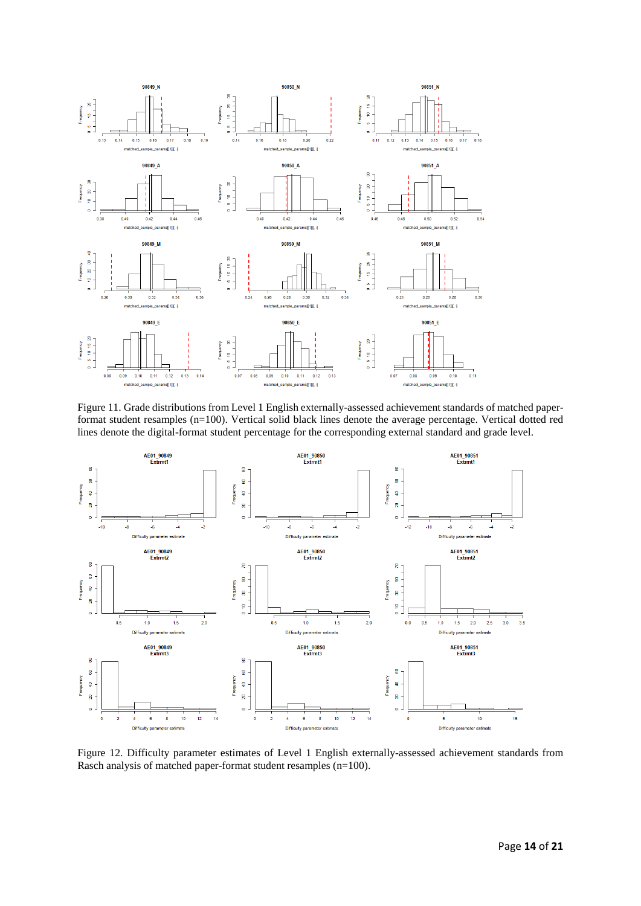

<span id="page-13-0"></span>Figure 11. Grade distributions from Level 1 English externally-assessed achievement standards of matched paperformat student resamples (n=100). Vertical solid black lines denote the average percentage. Vertical dotted red lines denote the digital-format student percentage for the corresponding external standard and grade level.



<span id="page-13-1"></span>Figure 12. Difficulty parameter estimates of Level 1 English externally-assessed achievement standards from Rasch analysis of matched paper-format student resamples (n=100).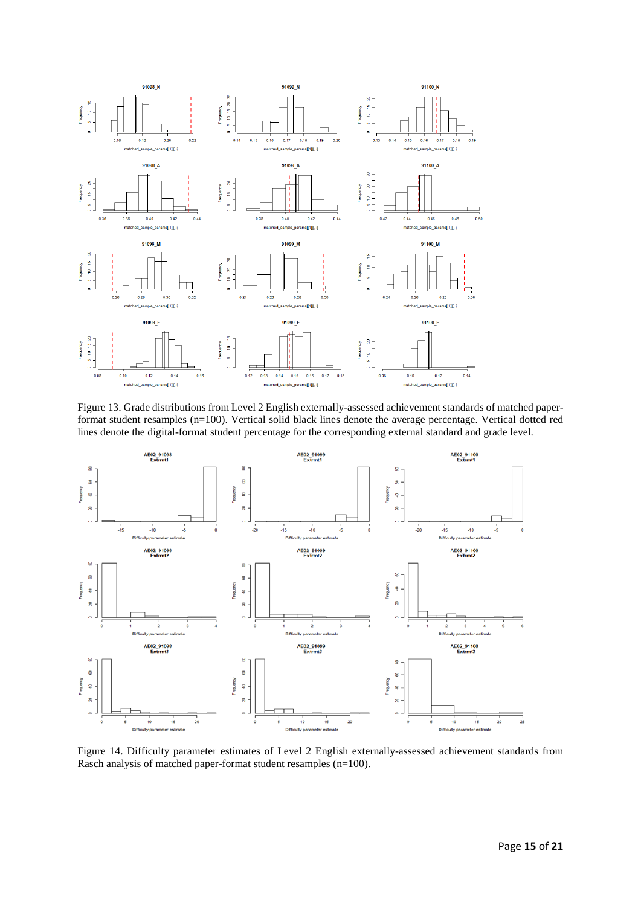

<span id="page-14-0"></span>Figure 13. Grade distributions from Level 2 English externally-assessed achievement standards of matched paperformat student resamples (n=100). Vertical solid black lines denote the average percentage. Vertical dotted red lines denote the digital-format student percentage for the corresponding external standard and grade level.



<span id="page-14-1"></span>Figure 14. Difficulty parameter estimates of Level 2 English externally-assessed achievement standards from Rasch analysis of matched paper-format student resamples (n=100).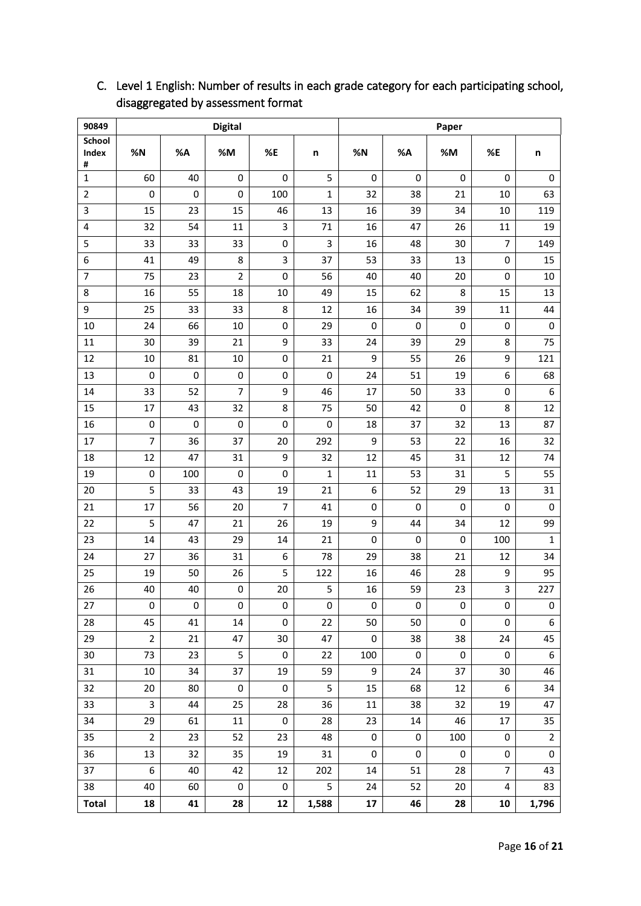| 90849                |                |     | <b>Digital</b>  |                |              | Paper     |           |           |                |                  |  |  |
|----------------------|----------------|-----|-----------------|----------------|--------------|-----------|-----------|-----------|----------------|------------------|--|--|
| School<br>Index<br># | %N             | %A  | $\% \mathsf{M}$ | %E             | n            | %N        | %А        | %M        | %E             | n                |  |  |
| $\mathbf{1}$         | 60             | 40  | 0               | 0              | 5            | 0         | 0         | 0         | $\mathbf 0$    | 0                |  |  |
| $\overline{2}$       | 0              | 0   | 0               | 100            | $\mathbf{1}$ | 32        | 38        | 21        | 10             | 63               |  |  |
| 3                    | 15             | 23  | 15              | 46             | 13           | 16        | 39        | 34        | 10             | 119              |  |  |
| 4                    | 32             | 54  | 11              | 3              | $71\,$       | 16        | 47        | 26        | 11             | 19               |  |  |
| 5                    | 33             | 33  | 33              | 0              | 3            | 16        | 48        | 30        | 7              | 149              |  |  |
| 6                    | 41             | 49  | 8               | 3              | 37           | 53        | 33        | 13        | 0              | 15               |  |  |
| $\overline{7}$       | 75             | 23  | $\overline{2}$  | 0              | 56           | 40        | 40        | 20        | 0              | 10               |  |  |
| 8                    | 16             | 55  | 18              | 10             | 49           | 15        | 62        | 8         | 15             | 13               |  |  |
| 9                    | 25             | 33  | 33              | 8              | 12           | 16        | 34        | 39        | 11             | 44               |  |  |
| 10                   | 24             | 66  | 10              | 0              | 29           | 0         | 0         | 0         | 0              | $\pmb{0}$        |  |  |
| 11                   | 30             | 39  | 21              | 9              | 33           | 24        | 39        | 29        | 8              | 75               |  |  |
| 12                   | 10             | 81  | 10              | 0              | 21           | 9         | 55        | 26        | 9              | 121              |  |  |
| 13                   | 0              | 0   | $\pmb{0}$       | 0              | 0            | 24        | 51        | 19        | 6              | 68               |  |  |
| 14                   | 33             | 52  | $\overline{7}$  | 9              | 46           | 17        | 50        | 33        | 0              | 6                |  |  |
| 15                   | 17             | 43  | 32              | 8              | 75           | 50        | 42        | 0         | 8              | 12               |  |  |
| 16                   | 0              | 0   | 0               | $\pmb{0}$      | 0            | 18        | 37        | 32        | 13             | 87               |  |  |
| 17                   | $\overline{7}$ | 36  | 37              | $20\,$         | 292          | 9         | 53        | 22        | 16             | 32               |  |  |
| 18                   | 12             | 47  | 31              | 9              | 32           | 12        | 45        | 31        | 12             | 74               |  |  |
| 19                   | 0              | 100 | $\pmb{0}$       | $\pmb{0}$      | $\mathbf{1}$ | 11        | 53        | 31        | 5              | 55               |  |  |
| 20                   | 5              | 33  | 43              | 19             | 21           | 6         | 52        | 29        | 13             | 31               |  |  |
| 21                   | 17             | 56  | 20              | $\overline{7}$ | 41           | 0         | 0         | 0         | 0              | 0                |  |  |
| 22                   | 5              | 47  | 21              | 26             | 19           | 9         | 44        | 34        | 12             | 99               |  |  |
| 23                   | 14             | 43  | 29              | 14             | 21           | 0         | 0         | 0         | 100            | $\mathbf 1$      |  |  |
| 24                   | 27             | 36  | 31              | 6              | 78           | 29        | 38        | 21        | 12             | 34               |  |  |
| 25                   | 19             | 50  | 26              | 5              | 122          | 16        | 46        | 28        | 9              | 95               |  |  |
| 26                   | 40             | 40  | 0               | 20             | 5            | 16        | 59        | 23        | 3              | 227              |  |  |
| 27                   | 0              | 0   | 0               | 0              | 0            | 0         | 0         | 0         | 0              | 0                |  |  |
| 28                   | 45             | 41  | 14              | $\mathsf 0$    | 22           | 50        | 50        | 0         | $\pmb{0}$      | 6                |  |  |
| 29                   | $\overline{2}$ | 21  | 47              | $30\,$         | 47           | $\pmb{0}$ | 38        | 38        | 24             | 45               |  |  |
| 30                   | 73             | 23  | 5               | 0              | 22           | 100       | $\pmb{0}$ | $\pmb{0}$ | $\pmb{0}$      | $\boldsymbol{6}$ |  |  |
| 31                   | 10             | 34  | 37              | 19             | 59           | 9         | 24        | 37        | 30             | 46               |  |  |
| 32                   | 20             | 80  | $\pmb{0}$       | $\pmb{0}$      | 5            | 15        | 68        | 12        | 6              | 34               |  |  |
| 33                   | 3              | 44  | 25              | 28             | 36           | $11\,$    | 38        | 32        | 19             | 47               |  |  |
| 34                   | 29             | 61  | $11\,$          | $\pmb{0}$      | 28           | 23        | 14        | 46        | 17             | 35               |  |  |
| 35                   | $\overline{2}$ | 23  | 52              | 23             | 48           | 0         | $\pmb{0}$ | 100       | $\pmb{0}$      | $\mathbf 2$      |  |  |
| 36                   | 13             | 32  | 35              | 19             | 31           | 0         | $\pmb{0}$ | 0         | 0              | $\pmb{0}$        |  |  |
| 37                   | 6              | 40  | 42              | 12             | 202          | 14        | 51        | 28        | $\overline{7}$ | 43               |  |  |
| 38                   | 40             | 60  | $\pmb{0}$       | 0              | 5            | 24        | 52        | 20        | 4              | 83               |  |  |
| <b>Total</b>         | 18             | 41  | 28              | ${\bf 12}$     | 1,588        | 17        | 46        | 28        | ${\bf 10}$     | 1,796            |  |  |

# C. Level 1 English: Number of results in each grade category for each participating school, disaggregated by assessment format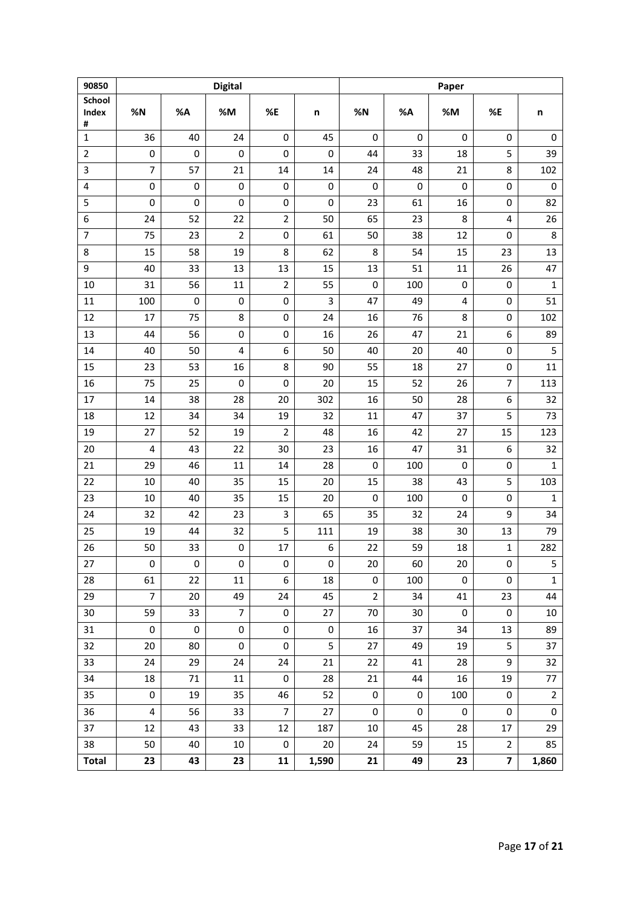| 90850           |                         |           | <b>Digital</b> |                |             | Paper          |     |     |                         |              |  |  |
|-----------------|-------------------------|-----------|----------------|----------------|-------------|----------------|-----|-----|-------------------------|--------------|--|--|
| School<br>Index | %N                      | %A        | %M             | %E             | n           | %N             | %A  | %M  | %E                      | n            |  |  |
| #               |                         |           |                |                |             |                |     |     |                         |              |  |  |
| $\mathbf{1}$    | 36                      | 40        | 24             | 0              | 45          | 0              | 0   | 0   | 0                       | 0            |  |  |
| $\overline{2}$  | $\pmb{0}$               | $\pmb{0}$ | $\pmb{0}$      | $\pmb{0}$      | $\pmb{0}$   | 44             | 33  | 18  | 5                       | 39           |  |  |
| 3               | $\overline{7}$          | 57        | 21             | 14             | 14          | 24             | 48  | 21  | 8                       | 102          |  |  |
| 4               | 0                       | $\pmb{0}$ | 0              | 0              | $\mathsf 0$ | 0              | 0   | 0   | $\pmb{0}$               | $\pmb{0}$    |  |  |
| 5               | $\mathbf 0$             | $\pmb{0}$ | 0              | 0              | $\pmb{0}$   | 23             | 61  | 16  | 0                       | 82           |  |  |
| 6               | 24                      | 52        | 22             | $\overline{2}$ | 50          | 65             | 23  | 8   | 4                       | 26           |  |  |
| $\overline{7}$  | 75                      | 23        | $\overline{2}$ | 0              | 61          | 50             | 38  | 12  | 0                       | 8            |  |  |
| 8               | 15                      | 58        | 19             | 8              | 62          | 8              | 54  | 15  | 23                      | 13           |  |  |
| 9               | 40                      | 33        | 13             | 13             | 15          | 13             | 51  | 11  | 26                      | 47           |  |  |
| 10              | 31                      | 56        | 11             | $\overline{2}$ | 55          | $\mathbf 0$    | 100 | 0   | 0                       | $\mathbf{1}$ |  |  |
| $11\,$          | 100                     | $\pmb{0}$ | 0              | 0              | 3           | 47             | 49  | 4   | $\pmb{0}$               | 51           |  |  |
| 12              | 17                      | 75        | 8              | 0              | 24          | 16             | 76  | 8   | 0                       | 102          |  |  |
| 13              | 44                      | 56        | 0              | 0              | 16          | 26             | 47  | 21  | 6                       | 89           |  |  |
| 14              | 40                      | 50        | 4              | 6              | 50          | 40             | 20  | 40  | 0                       | 5            |  |  |
| 15              | 23                      | 53        | 16             | 8              | 90          | 55             | 18  | 27  | 0                       | 11           |  |  |
| 16              | 75                      | 25        | $\pmb{0}$      | 0              | 20          | 15             | 52  | 26  | 7                       | 113          |  |  |
| 17              | 14                      | 38        | 28             | 20             | 302         | 16             | 50  | 28  | 6                       | 32           |  |  |
| 18              | 12                      | 34        | 34             | 19             | 32          | 11             | 47  | 37  | 5                       | 73           |  |  |
| 19              | 27                      | 52        | 19             | $\overline{2}$ | 48          | 16             | 42  | 27  | 15                      | 123          |  |  |
| 20              | $\overline{4}$          | 43        | 22             | 30             | 23          | 16             | 47  | 31  | 6                       | 32           |  |  |
| 21              | 29                      | 46        | 11             | 14             | 28          | $\mathbf 0$    | 100 | 0   | 0                       | $\mathbf{1}$ |  |  |
| 22              | 10                      | 40        | 35             | 15             | 20          | 15             | 38  | 43  | 5                       | 103          |  |  |
| 23              | 10                      | 40        | 35             | 15             | 20          | $\mathbf 0$    | 100 | 0   | 0                       | $\mathbf{1}$ |  |  |
| 24              | 32                      | 42        | 23             | 3              | 65          | 35             | 32  | 24  | 9                       | 34           |  |  |
| 25              | 19                      | 44        | 32             | 5              | 111         | 19             | 38  | 30  | 13                      | 79           |  |  |
| 26              | 50                      | 33        | 0              | 17             | 6           | 22             | 59  | 18  | $\mathbf{1}$            | 282          |  |  |
| 27              | 0                       | $\pmb{0}$ | 0              | $\mathsf 0$    | $\pmb{0}$   | 20             | 60  | 20  | 0                       | 5            |  |  |
| 28              | 61                      | 22        | 11             | 6              | 18          | 0              | 100 | 0   | 0                       | $\mathbf{1}$ |  |  |
| 29              | $\overline{7}$          | 20        | 49             | 24             | 45          | $\overline{2}$ | 34  | 41  | 23                      | 44           |  |  |
| 30              | 59                      | 33        | $\overline{7}$ | 0              | 27          | 70             | 30  | 0   | 0                       | $10\,$       |  |  |
| 31              | $\pmb{0}$               | 0         | 0              | 0              | $\pmb{0}$   | 16             | 37  | 34  | 13                      | 89           |  |  |
| 32              | 20                      | 80        | 0              | 0              | 5           | 27             | 49  | 19  | 5                       | 37           |  |  |
| 33              | 24                      | 29        | 24             | 24             | 21          | 22             | 41  | 28  | 9                       | 32           |  |  |
| 34              | 18                      | 71        | 11             | 0              | 28          | 21             | 44  | 16  | 19                      | $77 \,$      |  |  |
| 35              | $\pmb{0}$               | 19        | 35             | 46             | 52          | $\pmb{0}$      | 0   | 100 | $\pmb{0}$               | $\mathbf 2$  |  |  |
| 36              | $\overline{\mathbf{4}}$ | 56        | 33             | $\overline{7}$ | 27          | 0              | 0   | 0   | 0                       | $\pmb{0}$    |  |  |
| 37              | 12                      | 43        | 33             | 12             | 187         | 10             | 45  | 28  | 17                      | 29           |  |  |
| 38              | 50                      | 40        | 10             | 0              | 20          | 24             | 59  | 15  | $\overline{2}$          | 85           |  |  |
| <b>Total</b>    | 23                      | 43        | 23             | 11             | 1,590       | 21             | 49  | 23  | $\overline{\mathbf{z}}$ | 1,860        |  |  |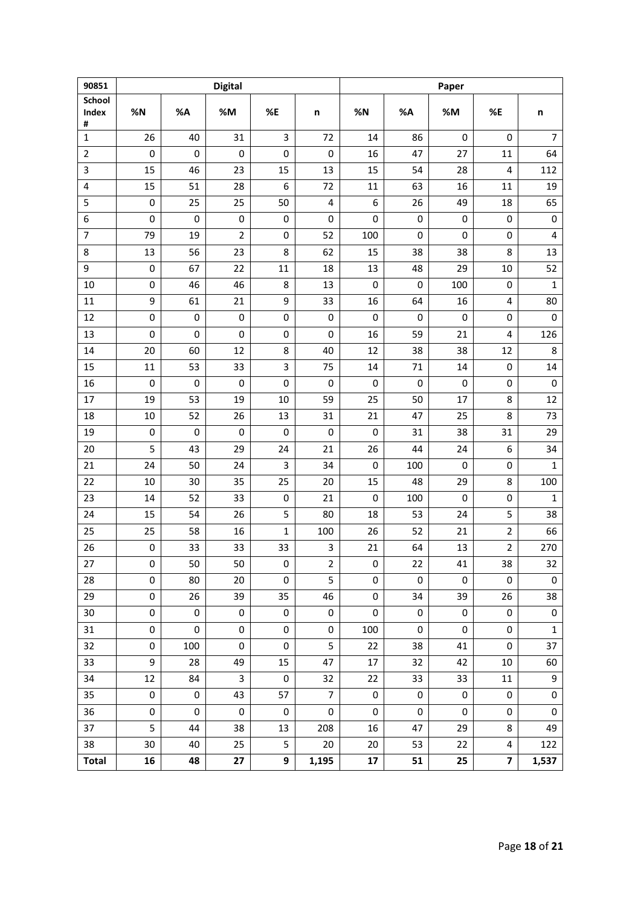| 90851           |             |           | <b>Digital</b> |             |                         | Paper               |             |           |                         |                         |  |  |
|-----------------|-------------|-----------|----------------|-------------|-------------------------|---------------------|-------------|-----------|-------------------------|-------------------------|--|--|
| School<br>Index |             |           |                |             |                         |                     |             |           |                         |                         |  |  |
| #               | %N          | %A        | %M             | %E          | n                       | %N                  | %A          | %M        | %E                      | n                       |  |  |
| $\mathbf{1}$    | 26          | 40        | 31             | 3           | 72                      | 14                  | 86          | 0         | 0                       | $\overline{7}$          |  |  |
| $\overline{2}$  | $\pmb{0}$   | 0         | $\pmb{0}$      | 0           | $\pmb{0}$               | 16                  | 47          | 27        | 11                      | 64                      |  |  |
| 3               | 15          | 46        | 23             | 15          | 13                      | 15                  | 54          | 28        | 4                       | 112                     |  |  |
| 4               | 15          | 51        | 28             | 6           | 72                      | 11                  | 63          | 16        | 11                      | 19                      |  |  |
| 5               | 0           | 25        | 25             | 50          | $\overline{\mathbf{4}}$ | 6                   | 26          | 49        | 18                      | 65                      |  |  |
| 6               | 0           | 0         | $\pmb{0}$      | 0           | $\pmb{0}$               | 0                   | 0           | 0         | 0                       | $\pmb{0}$               |  |  |
| $\overline{7}$  | 79          | 19        | $\overline{2}$ | 0           | 52                      | 100                 | $\mathbf 0$ | 0         | 0                       | $\overline{\mathbf{4}}$ |  |  |
| 8               | 13          | 56        | 23             | 8           | 62                      | 15                  | 38          | 38        | 8                       | 13                      |  |  |
| 9               | 0           | 67        | 22             | 11          | 18                      | 13                  | 48          | 29        | 10                      | 52                      |  |  |
| 10              | $\mathbf 0$ | 46        | 46             | 8           | 13                      | $\mathbf 0$         | 0           | 100       | 0                       | $\mathbf 1$             |  |  |
| $11\,$          | 9           | 61        | 21             | 9           | 33                      | 16                  | 64          | 16        | 4                       | 80                      |  |  |
| 12              | $\pmb{0}$   | $\pmb{0}$ | $\pmb{0}$      | 0           | $\mathbf 0$             | $\mathbf 0$         | 0           | 0         | 0                       | $\pmb{0}$               |  |  |
| 13              | $\mathbf 0$ | 0         | $\mathbf 0$    | 0           | $\mathbf 0$             | 16                  | 59          | 21        | 4                       | 126                     |  |  |
| 14              | 20          | 60        | 12             | 8           | 40                      | 12                  | 38          | 38        | 12                      | 8                       |  |  |
| 15              | 11          | 53        | 33             | 3           | 75                      | 14                  | 71          | 14        | 0                       | 14                      |  |  |
| 16              | 0           | $\pmb{0}$ | 0              | 0           | $\mathbf 0$             | 0                   | 0           | 0         | 0                       | $\pmb{0}$               |  |  |
| 17              | 19          | 53        | 19             | $10\,$      | 59                      | 25                  | 50          | 17        | 8                       | 12                      |  |  |
| 18              | 10          | 52        | 26             | 13          | 31                      | 21                  | 47          | 25        | 8                       | 73                      |  |  |
| 19              | 0           | 0         | $\pmb{0}$      | 0           | $\mathbf 0$             | 0                   | 31          | 38        | 31                      | 29                      |  |  |
| 20              | 5           | 43        | 29             | 24          | 21                      | 26                  | 44          | 24        | 6                       | 34                      |  |  |
| 21              | 24          | 50        | 24             | 3           | 34                      | 0                   | 100         | 0         | 0                       | $\mathbf{1}$            |  |  |
| 22              | 10          | 30        | 35             | 25          | 20                      | 15                  | 48          | 29        | 8                       | 100                     |  |  |
| 23              | 14          | 52        | 33             | 0           | 21                      | 0                   | 100         | 0         | $\pmb{0}$               | $\mathbf{1}$            |  |  |
| 24              | 15          | 54        | 26             | 5           | 80                      | 18                  | 53          | 24        | 5                       | 38                      |  |  |
| 25              | 25          | 58        | 16             | $\mathbf 1$ | 100                     | 26                  | 52          | 21        | $\overline{2}$          | 66                      |  |  |
| 26              | $\pmb{0}$   | 33        | 33             | 33          | 3                       | 21                  | 64          | 13        | $\overline{\mathbf{c}}$ | 270                     |  |  |
| 27              | 0           | 50        | 50             | $\pmb{0}$   | $\overline{2}$          | 0                   | 22          | 41        | 38                      | 32                      |  |  |
| 28              | 0           | 80        | 20             | 0           | 5                       | 0                   | 0           | 0         | $\mathbf 0$             | $\mathbf 0$             |  |  |
| 29              | $\pmb{0}$   | 26        | 39             | 35          | 46                      | $\mathsf{O}\xspace$ | 34          | 39        | 26                      | 38                      |  |  |
| 30              | $\pmb{0}$   | 0         | 0              | 0           | 0                       | 0                   | 0           | 0         | 0                       | 0                       |  |  |
| 31              | 0           | 0         | 0              | 0           | 0                       | 100                 | 0           | 0         | 0                       | $\mathbf{1}$            |  |  |
| 32              | 0           | 100       | 0              | 0           | 5                       | 22                  | 38          | 41        | 0                       | 37                      |  |  |
| 33              | 9           | 28        | 49             | 15          | 47                      | 17                  | 32          | 42        | 10                      | 60                      |  |  |
| 34              | 12          | 84        | 3              | 0           | 32                      | 22                  | 33          | 33        | 11                      | 9                       |  |  |
| 35              | $\pmb{0}$   | 0         | 43             | 57          | $\overline{7}$          | $\pmb{0}$           | $\pmb{0}$   | $\pmb{0}$ | 0                       | $\mathbf 0$             |  |  |
| 36              | $\pmb{0}$   | 0         | 0              | 0           | $\pmb{0}$               | $\mathsf{O}\xspace$ | $\pmb{0}$   | 0         | 0                       | $\pmb{0}$               |  |  |
| 37              | 5           | 44        | 38             | 13          | 208                     | 16                  | 47          | 29        | 8                       | 49                      |  |  |
| 38              | 30          | 40        | 25             | 5           | 20                      | 20                  | 53          | 22        | 4                       | 122                     |  |  |
| <b>Total</b>    | 16          | 48        | 27             | 9           | 1,195                   | 17                  | 51          | 25        | $\overline{\mathbf{z}}$ | 1,537                   |  |  |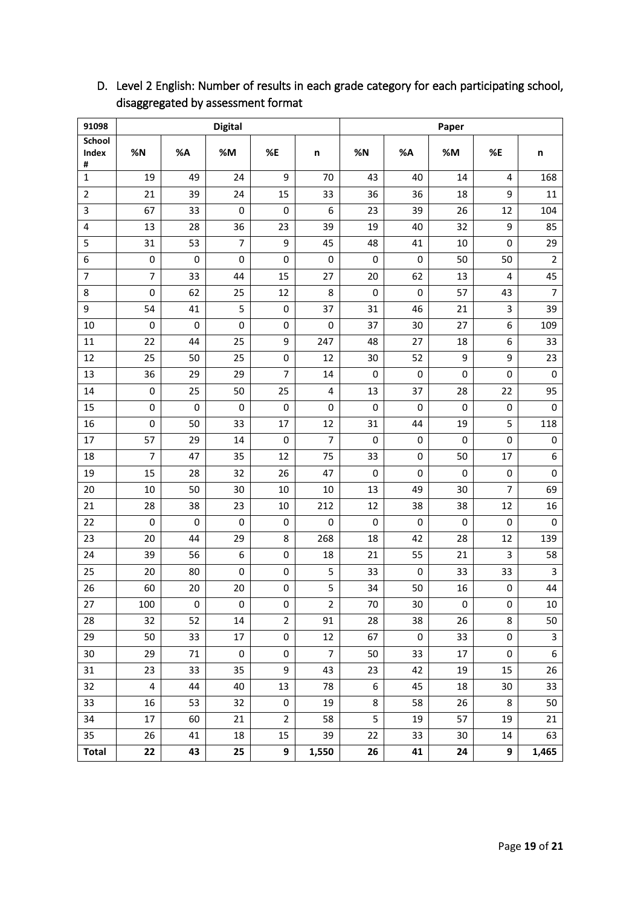| 91098                  |                         |           | <b>Digital</b> |                |                | Paper     |           |    |                |                |  |  |
|------------------------|-------------------------|-----------|----------------|----------------|----------------|-----------|-----------|----|----------------|----------------|--|--|
| <b>School</b><br>Index | %N                      | %A        | %M             | %E             | n              | %N        | %A        | %M | %E             |                |  |  |
| #                      |                         |           |                |                |                |           |           |    |                | n              |  |  |
| $\mathbf{1}$           | 19                      | 49        | 24             | 9              | 70             | 43        | 40        | 14 | 4              | 168            |  |  |
| $\overline{2}$         | 21                      | 39        | 24             | 15             | 33             | 36        | 36        | 18 | 9              | 11             |  |  |
| 3                      | 67                      | 33        | $\mathbf 0$    | 0              | 6              | 23        | 39        | 26 | 12             | 104            |  |  |
| 4                      | 13                      | 28        | 36             | 23             | 39             | 19        | 40        | 32 | 9              | 85             |  |  |
| 5                      | 31                      | 53        | $\overline{7}$ | 9              | 45             | 48        | 41        | 10 | 0              | 29             |  |  |
| 6                      | 0                       | 0         | 0              | $\mathbf 0$    | 0              | 0         | 0         | 50 | 50             | $\overline{2}$ |  |  |
| $\overline{7}$         | $\overline{7}$          | 33        | 44             | 15             | 27             | 20        | 62        | 13 | 4              | 45             |  |  |
| 8                      | $\mathsf 0$             | 62        | 25             | 12             | 8              | 0         | $\pmb{0}$ | 57 | 43             | $\overline{7}$ |  |  |
| 9                      | 54                      | 41        | 5              | $\pmb{0}$      | 37             | 31        | 46        | 21 | 3              | 39             |  |  |
| $10\,$                 | $\mathsf 0$             | 0         | $\mathsf 0$    | 0              | 0              | 37        | 30        | 27 | 6              | 109            |  |  |
| 11                     | 22                      | 44        | 25             | 9              | 247            | 48        | 27        | 18 | 6              | 33             |  |  |
| 12                     | 25                      | 50        | 25             | $\pmb{0}$      | 12             | 30        | 52        | 9  | 9              | 23             |  |  |
| 13                     | 36                      | 29        | 29             | $\overline{7}$ | 14             | 0         | $\pmb{0}$ | 0  | $\pmb{0}$      | $\pmb{0}$      |  |  |
| 14                     | 0                       | 25        | 50             | 25             | 4              | 13        | 37        | 28 | 22             | 95             |  |  |
| 15                     | 0                       | $\pmb{0}$ | $\mathbf 0$    | 0              | 0              | 0         | 0         | 0  | 0              | 0              |  |  |
| 16                     | 0                       | 50        | 33             | 17             | 12             | 31        | 44        | 19 | 5              | 118            |  |  |
| 17                     | 57                      | 29        | 14             | 0              | $\overline{7}$ | 0         | 0         | 0  | 0              | 0              |  |  |
| 18                     | $\overline{7}$          | 47        | 35             | 12             | 75             | 33        | 0         | 50 | 17             | 6              |  |  |
| 19                     | 15                      | 28        | 32             | 26             | 47             | 0         | $\pmb{0}$ | 0  | $\pmb{0}$      | $\pmb{0}$      |  |  |
| 20                     | 10                      | 50        | 30             | 10             | 10             | 13        | 49        | 30 | $\overline{7}$ | 69             |  |  |
| 21                     | 28                      | 38        | 23             | $10\,$         | 212            | 12        | 38        | 38 | 12             | 16             |  |  |
| 22                     | $\pmb{0}$               | $\pmb{0}$ | $\pmb{0}$      | $\pmb{0}$      | 0              | $\pmb{0}$ | $\pmb{0}$ | 0  | $\pmb{0}$      | $\pmb{0}$      |  |  |
| 23                     | 20                      | 44        | 29             | 8              | 268            | 18        | 42        | 28 | 12             | 139            |  |  |
| 24                     | 39                      | 56        | 6              | 0              | 18             | 21        | 55        | 21 | 3              | 58             |  |  |
| 25                     | 20                      | 80        | $\pmb{0}$      | $\pmb{0}$      | 5              | 33        | 0         | 33 | 33             | 3              |  |  |
| 26                     | 60                      | 20        | 20             | 0              | 5              | 34        | 50        | 16 | 0              | 44             |  |  |
| 27                     | 100                     | 0         | 0              | 0              | 2              | 70        | 30        | 0  | 0              | 10             |  |  |
| 28                     | 32                      | 52        | 14             | $\overline{2}$ | 91             | 28        | 38        | 26 | 8              | 50             |  |  |
| 29                     | 50                      | 33        | 17             | $\pmb{0}$      | 12             | 67        | 0         | 33 | $\pmb{0}$      | 3              |  |  |
| $30\,$                 | 29                      | 71        | 0              | $\pmb{0}$      | $\overline{7}$ | 50        | 33        | 17 | $\pmb{0}$      | 6              |  |  |
| 31                     | 23                      | 33        | 35             | 9              | 43             | 23        | 42        | 19 | 15             | 26             |  |  |
| 32                     | $\overline{\mathbf{4}}$ | 44        | 40             | 13             | 78             | 6         | 45        | 18 | 30             | 33             |  |  |
| 33                     | 16                      | 53        | 32             | $\pmb{0}$      | 19             | 8         | 58        | 26 | $\bf 8$        | 50             |  |  |
| 34                     | 17                      | 60        | 21             | $\overline{2}$ | 58             | 5         | 19        | 57 | 19             | 21             |  |  |
| 35                     | 26                      | 41        | 18             | 15             | 39             | 22        | 33        | 30 | 14             | 63             |  |  |
| <b>Total</b>           | 22                      | 43        | 25             | 9              | 1,550          | 26        | 41        | 24 | 9              | 1,465          |  |  |

# D. Level 2 English: Number of results in each grade category for each participating school, disaggregated by assessment format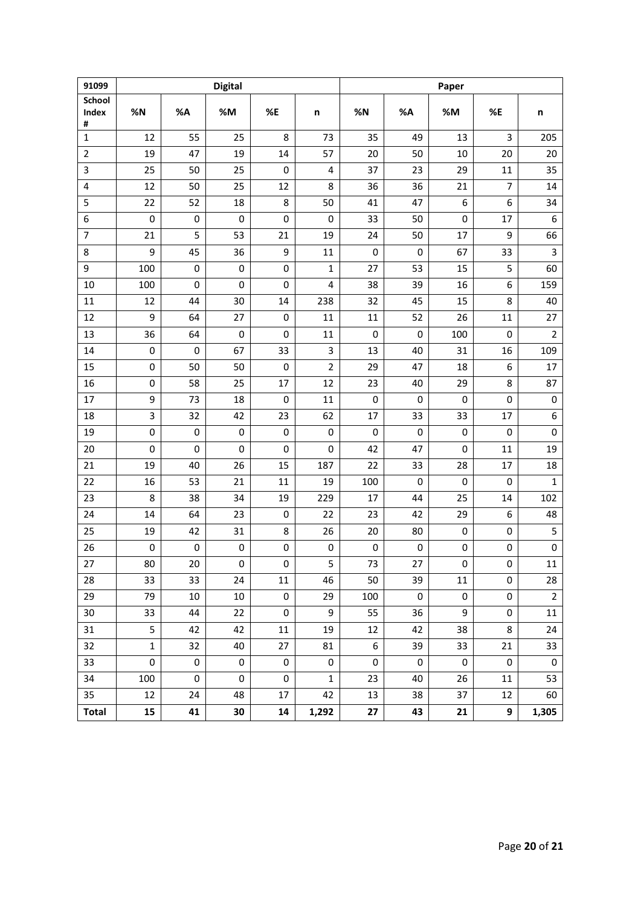| 91099          |              |           | <b>Digital</b> |            |                | Paper               |           |           |                |                |  |  |
|----------------|--------------|-----------|----------------|------------|----------------|---------------------|-----------|-----------|----------------|----------------|--|--|
| School         |              |           |                |            |                |                     |           |           |                |                |  |  |
| Index<br>#     | %N           | %A        | %M             | %E         | n              | %N                  | %A        | %M        | %E             | n              |  |  |
| $\mathbf{1}$   | 12           | 55        | 25             | 8          | 73             | 35                  | 49        | 13        | 3              | 205            |  |  |
| $\overline{2}$ | 19           | 47        | 19             | 14         | 57             | 20                  | 50        | 10        | 20             | 20             |  |  |
| 3              | 25           | 50        | 25             | 0          | 4              | 37                  | 23        | 29        | 11             | 35             |  |  |
| 4              | 12           | 50        | 25             | 12         | 8              | 36                  | 36        | 21        | $\overline{7}$ | 14             |  |  |
| 5              | 22           | 52        | 18             | 8          | 50             | 41                  | 47        | 6         | 6              | 34             |  |  |
| 6              | 0            | 0         | 0              | 0          | 0              | 33                  | 50        | 0         | 17             | 6              |  |  |
| $\overline{7}$ | 21           | 5         | 53             | 21         | 19             | 24                  | 50        | 17        | 9              | 66             |  |  |
| 8              | 9            | 45        | 36             | 9          | 11             | 0                   | 0         | 67        | 33             | 3              |  |  |
| 9              | 100          | 0         | 0              | 0          | $\mathbf{1}$   | 27                  | 53        | 15        | 5              | 60             |  |  |
| 10             | 100          | 0         | $\mathbf 0$    | 0          | $\overline{4}$ | 38                  | 39        | 16        | 6              | 159            |  |  |
| $11\,$         | 12           | 44        | 30             | 14         | 238            | 32                  | 45        | 15        | 8              | 40             |  |  |
| 12             | 9            | 64        | 27             | $\pmb{0}$  | 11             | 11                  | 52        | 26        | 11             | 27             |  |  |
| 13             | 36           | 64        | $\pmb{0}$      | 0          | 11             | 0                   | 0         | 100       | 0              | $\overline{2}$ |  |  |
| 14             | 0            | 0         | 67             | 33         | 3              | 13                  | 40        | 31        | 16             | 109            |  |  |
| 15             | 0            | 50        | 50             | $\pmb{0}$  | $\overline{2}$ | 29                  | 47        | 18        | 6              | 17             |  |  |
| 16             | 0            | 58        | 25             | 17         | 12             | 23                  | 40        | 29        | 8              | 87             |  |  |
| 17             | 9            | 73        | 18             | 0          | 11             | 0                   | 0         | 0         | 0              | $\pmb{0}$      |  |  |
| 18             | 3            | 32        | 42             | 23         | 62             | 17                  | 33        | 33        | 17             | 6              |  |  |
| 19             | 0            | 0         | 0              | 0          | 0              | 0                   | 0         | 0         | 0              | $\pmb{0}$      |  |  |
| 20             | $\mathbf 0$  | 0         | 0              | 0          | 0              | 42                  | 47        | 0         | 11             | 19             |  |  |
| 21             | 19           | 40        | 26             | 15         | 187            | 22                  | 33        | 28        | 17             | 18             |  |  |
| 22             | 16           | 53        | 21             | 11         | 19             | 100                 | 0         | 0         | 0              | $\mathbf{1}$   |  |  |
| 23             | 8            | 38        | 34             | 19         | 229            | 17                  | 44        | 25        | 14             | 102            |  |  |
| 24             | 14           | 64        | 23             | 0          | 22             | 23                  | 42        | 29        | 6              | 48             |  |  |
| 25             | 19           | 42        | 31             | 8          | 26             | 20                  | 80        | 0         | 0              | 5              |  |  |
| 26             | $\pmb{0}$    | 0         | $\pmb{0}$      | 0          | $\pmb{0}$      | $\pmb{0}$           | 0         | 0         | $\pmb{0}$      | $\mathsf 0$    |  |  |
| 27             | 80           | 20        | 0              | 0          | 5              | 73                  | 27        | 0         | $\pmb{0}$      | $11\,$         |  |  |
| 28             | 33           | 33        | 24             | 11         | 46             | 50                  | 39        | 11        | 0              | 28             |  |  |
| 29             | 79           | $10\,$    | $10\,$         | $\pmb{0}$  | 29             | 100                 | $\pmb{0}$ | $\pmb{0}$ | 0              | $\mathbf 2$    |  |  |
| 30             | 33           | 44        | 22             | $\pmb{0}$  | 9              | 55                  | 36        | 9         | 0              | 11             |  |  |
| 31             | 5            | 42        | 42             | 11         | 19             | 12                  | 42        | 38        | 8              | 24             |  |  |
| 32             | $\mathbf{1}$ | 32        | 40             | 27         | 81             | 6                   | 39        | 33        | 21             | 33             |  |  |
| 33             | $\pmb{0}$    | $\pmb{0}$ | 0              | 0          | $\pmb{0}$      | $\mathsf{O}\xspace$ | $\pmb{0}$ | $\pmb{0}$ | 0              | $\pmb{0}$      |  |  |
| 34             | 100          | 0         | 0              | 0          | $\mathbf{1}$   | 23                  | 40        | 26        | 11             | 53             |  |  |
| 35             | 12           | 24        | 48             | 17         | 42             | 13                  | 38        | 37        | 12             | 60             |  |  |
| <b>Total</b>   | 15           | 41        | 30             | ${\bf 14}$ | 1,292          | 27                  | 43        | 21        | 9              | 1,305          |  |  |